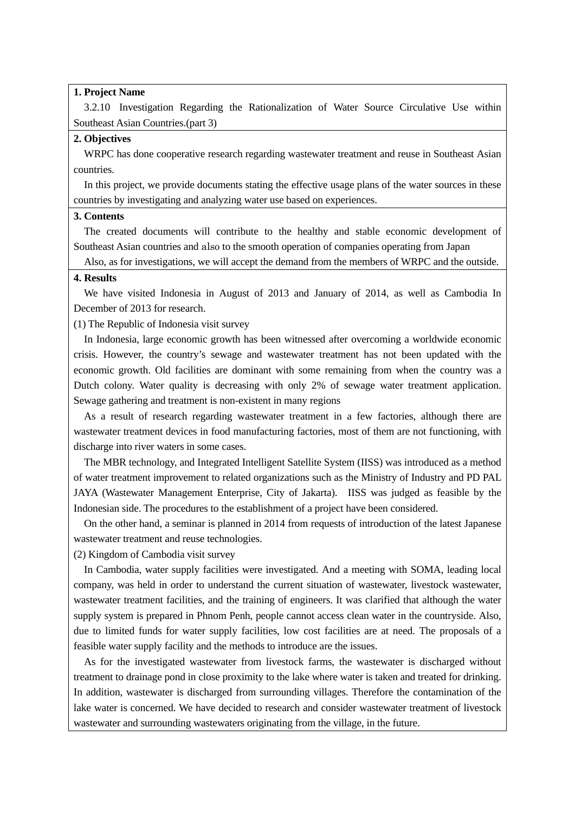#### **1. Project Name**

3.2.10 Investigation Regarding the Rationalization of Water Source Circulative Use within Southeast Asian Countries.(part 3)

## **2. Objectives**

WRPC has done cooperative research regarding wastewater treatment and reuse in Southeast Asian countries.

In this project, we provide documents stating the effective usage plans of the water sources in these countries by investigating and analyzing water use based on experiences.

### **3. Contents**

The created documents will contribute to the healthy and stable economic development of Southeast Asian countries and also to the smooth operation of companies operating from Japan

Also, as for investigations, we will accept the demand from the members of WRPC and the outside.

#### **4. Results**

We have visited Indonesia in August of 2013 and January of 2014, as well as Cambodia In December of 2013 for research.

(1) The Republic of Indonesia visit survey

In Indonesia, large economic growth has been witnessed after overcoming a worldwide economic crisis. However, the country's sewage and wastewater treatment has not been updated with the economic growth. Old facilities are dominant with some remaining from when the country was a Dutch colony. Water quality is decreasing with only 2% of sewage water treatment application. Sewage gathering and treatment is non-existent in many regions

As a result of research regarding wastewater treatment in a few factories, although there are wastewater treatment devices in food manufacturing factories, most of them are not functioning, with discharge into river waters in some cases.

The MBR technology, and Integrated Intelligent Satellite System (IISS) was introduced as a method of water treatment improvement to related organizations such as the Ministry of Industry and PD PAL JAYA (Wastewater Management Enterprise, City of Jakarta). IISS was judged as feasible by the Indonesian side. The procedures to the establishment of a project have been considered.

On the other hand, a seminar is planned in 2014 from requests of introduction of the latest Japanese wastewater treatment and reuse technologies.

(2) Kingdom of Cambodia visit survey

In Cambodia, water supply facilities were investigated. And a meeting with SOMA, leading local company, was held in order to understand the current situation of wastewater, livestock wastewater, wastewater treatment facilities, and the training of engineers. It was clarified that although the water supply system is prepared in Phnom Penh, people cannot access clean water in the countryside. Also, due to limited funds for water supply facilities, low cost facilities are at need. The proposals of a feasible water supply facility and the methods to introduce are the issues.

As for the investigated wastewater from livestock farms, the wastewater is discharged without treatment to drainage pond in close proximity to the lake where water is taken and treated for drinking. In addition, wastewater is discharged from surrounding villages. Therefore the contamination of the lake water is concerned. We have decided to research and consider wastewater treatment of livestock wastewater and surrounding wastewaters originating from the village, in the future.